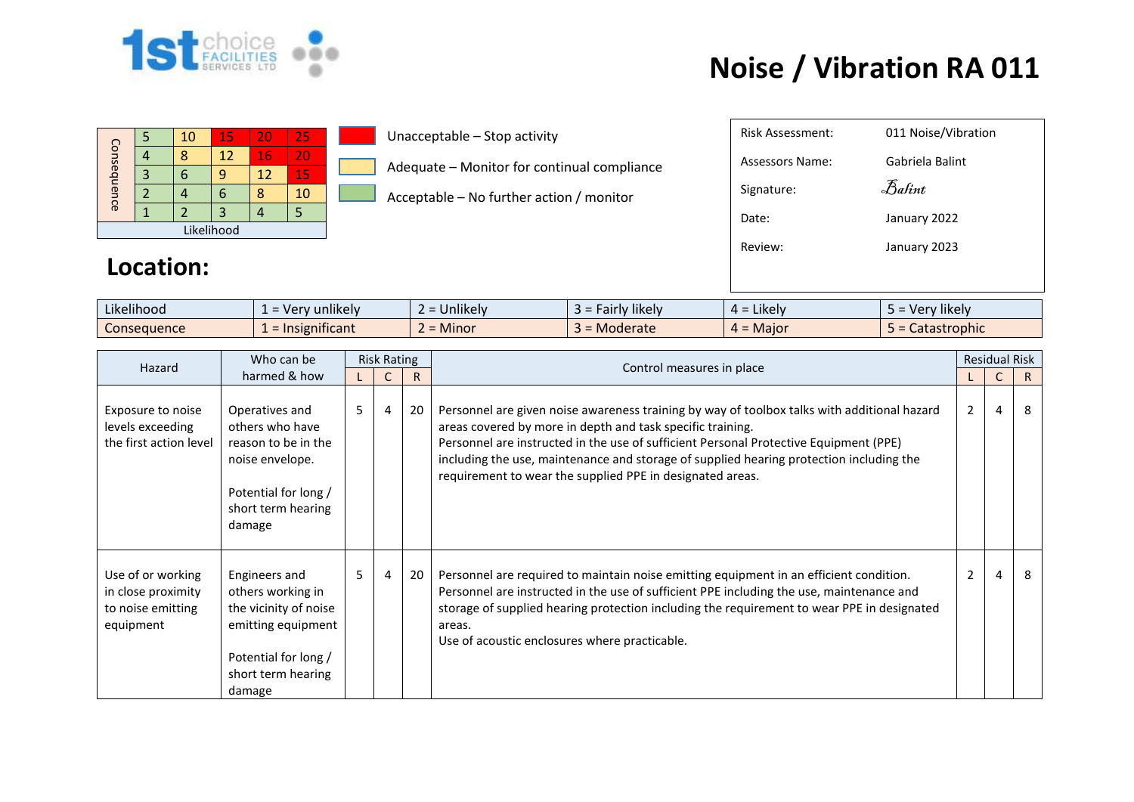

## **Noise / Vibration RA 011**

|             |  | 10 | 15 | 20                | 25 |  |  |
|-------------|--|----|----|-------------------|----|--|--|
| Consequence |  |    | 12 | 16                | 20 |  |  |
|             |  |    | q  | $12 \overline{ }$ | 15 |  |  |
|             |  |    | n  |                   | 10 |  |  |
|             |  |    | 3  |                   |    |  |  |
| Likelihood  |  |    |    |                   |    |  |  |

Unacceptable – Stop activity

Adequate – Monitor for continual compliance

Acceptable – No further action / monitor

| 011 Noise/Vibration |
|---------------------|
| Gabriela Balint     |
| Balint              |
| January 2022        |
| January 2023        |
|                     |
|                     |

## **Location:**

| Likelihood<br>$\cdots$ | v unlikely v<br>. Ver           | $\cdots$<br>$\sim$<br><b>Jnlikely</b>               | <b>Fairly likely</b><br><u> ə – </u> | $\cdots$<br>$4 =$ Likely | Very likely  |
|------------------------|---------------------------------|-----------------------------------------------------|--------------------------------------|--------------------------|--------------|
| <b>Consequence</b>     | .<br>$\epsilon$ = Insignificant | <b>A</b> $A$ <sup>+</sup><br>$\sim$<br><b>Minor</b> | Moderate                             | $4 =$ Major              | Catastrophic |

| Hazard                                                                    | Who can be                                                                                                                                | <b>Risk Rating</b> |                |              |                                                                                                                                                                                                                                                                                                                                                                                                            |                | <b>Residual Risk</b> |    |
|---------------------------------------------------------------------------|-------------------------------------------------------------------------------------------------------------------------------------------|--------------------|----------------|--------------|------------------------------------------------------------------------------------------------------------------------------------------------------------------------------------------------------------------------------------------------------------------------------------------------------------------------------------------------------------------------------------------------------------|----------------|----------------------|----|
|                                                                           | harmed & how                                                                                                                              |                    |                | $\mathsf{R}$ | Control measures in place                                                                                                                                                                                                                                                                                                                                                                                  |                |                      | R. |
| Exposure to noise<br>levels exceeding<br>the first action level           | Operatives and<br>others who have<br>reason to be in the<br>noise envelope.<br>Potential for long /<br>short term hearing<br>damage       | $5 -$              | $\overline{4}$ | 20           | Personnel are given noise awareness training by way of toolbox talks with additional hazard<br>areas covered by more in depth and task specific training.<br>Personnel are instructed in the use of sufficient Personal Protective Equipment (PPE)<br>including the use, maintenance and storage of supplied hearing protection including the<br>requirement to wear the supplied PPE in designated areas. | $\overline{2}$ | 4                    | 8  |
| Use of or working<br>in close proximity<br>to noise emitting<br>equipment | Engineers and<br>others working in<br>the vicinity of noise<br>emitting equipment<br>Potential for long /<br>short term hearing<br>damage | $5 -$              | $\overline{4}$ | 20           | Personnel are required to maintain noise emitting equipment in an efficient condition.<br>Personnel are instructed in the use of sufficient PPE including the use, maintenance and<br>storage of supplied hearing protection including the requirement to wear PPE in designated<br>areas.<br>Use of acoustic enclosures where practicable.                                                                | $\overline{2}$ | 4                    | 8  |